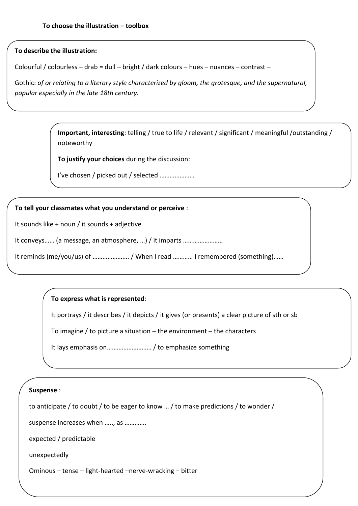## **To describe the illustration:**

Colourful / colourless – drab = dull – bright / dark colours – hues – nuances – contrast –

Gothic: *of or relating to a literary style characterized by gloom, the grotesque, and the supernatural, popular especially in the late 18th century.*

> **Important, interesting**: telling / true to life / relevant / significant / meaningful /outstanding / noteworthy

**To justify your choices** during the discussion:

I've chosen / picked out / selected …………………

## **To tell your classmates what you understand or perceive** :

It sounds like + noun / it sounds + adjective

It conveys…… (a message, an atmosphere, …) / it imparts ……………………

It reminds (me/you/us) of ......................./ When I read ............ I remembered (something)......

# **To express what is represented**:

It portrays / it describes / it depicts / it gives (or presents) a clear picture of sth or sb

To imagine / to picture a situation – the environment – the characters

It lays emphasis on……………………… / to emphasize something

#### **Suspense** :

to anticipate / to doubt / to be eager to know … / to make predictions / to wonder /

suspense increases when ....., as ..............

expected / predictable

unexpectedly

Ominous – tense – light-hearted –nerve-wracking – bitter